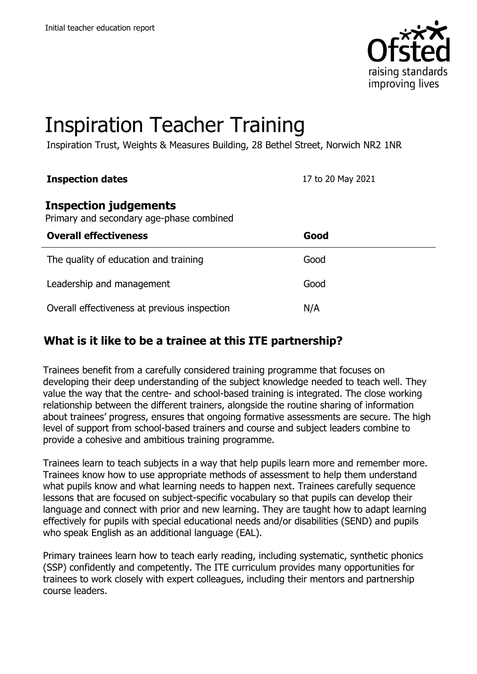

# Inspiration Teacher Training

Inspiration Trust, Weights & Measures Building, 28 Bethel Street, Norwich NR2 1NR

#### **Inspection dates** 17 to 20 May 2021

#### **Inspection judgements**

Primary and secondary age-phase combined

| <b>Overall effectiveness</b>                 | Good |
|----------------------------------------------|------|
| The quality of education and training        | Good |
| Leadership and management                    | Good |
| Overall effectiveness at previous inspection | N/A  |

# **What is it like to be a trainee at this ITE partnership?**

Trainees benefit from a carefully considered training programme that focuses on developing their deep understanding of the subject knowledge needed to teach well. They value the way that the centre- and school-based training is integrated. The close working relationship between the different trainers, alongside the routine sharing of information about trainees' progress, ensures that ongoing formative assessments are secure. The high level of support from school-based trainers and course and subject leaders combine to provide a cohesive and ambitious training programme.

Trainees learn to teach subjects in a way that help pupils learn more and remember more. Trainees know how to use appropriate methods of assessment to help them understand what pupils know and what learning needs to happen next. Trainees carefully sequence lessons that are focused on subject-specific vocabulary so that pupils can develop their language and connect with prior and new learning. They are taught how to adapt learning effectively for pupils with special educational needs and/or disabilities (SEND) and pupils who speak English as an additional language (EAL).

Primary trainees learn how to teach early reading, including systematic, synthetic phonics (SSP) confidently and competently. The ITE curriculum provides many opportunities for trainees to work closely with expert colleagues, including their mentors and partnership course leaders.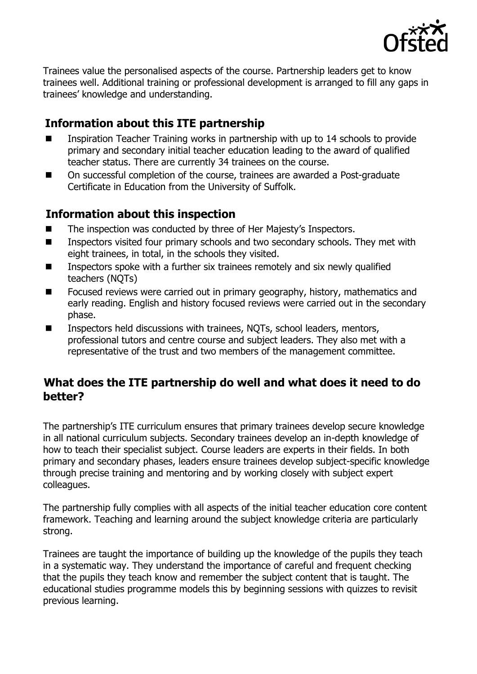

Trainees value the personalised aspects of the course. Partnership leaders get to know trainees well. Additional training or professional development is arranged to fill any gaps in trainees' knowledge and understanding.

## **Information about this ITE partnership**

- Inspiration Teacher Training works in partnership with up to 14 schools to provide primary and secondary initial teacher education leading to the award of qualified teacher status. There are currently 34 trainees on the course.
- On successful completion of the course, trainees are awarded a Post-graduate Certificate in Education from the University of Suffolk.

## **Information about this inspection**

- The inspection was conducted by three of Her Majesty's Inspectors.
- Inspectors visited four primary schools and two secondary schools. They met with eight trainees, in total, in the schools they visited.
- Inspectors spoke with a further six trainees remotely and six newly qualified teachers (NQTs)
- Focused reviews were carried out in primary geography, history, mathematics and early reading. English and history focused reviews were carried out in the secondary phase.
- Inspectors held discussions with trainees, NQTs, school leaders, mentors, professional tutors and centre course and subject leaders. They also met with a representative of the trust and two members of the management committee.

## **What does the ITE partnership do well and what does it need to do better?**

The partnership's ITE curriculum ensures that primary trainees develop secure knowledge in all national curriculum subjects. Secondary trainees develop an in-depth knowledge of how to teach their specialist subject. Course leaders are experts in their fields. In both primary and secondary phases, leaders ensure trainees develop subject-specific knowledge through precise training and mentoring and by working closely with subject expert colleagues.

The partnership fully complies with all aspects of the initial teacher education core content framework. Teaching and learning around the subject knowledge criteria are particularly strong.

Trainees are taught the importance of building up the knowledge of the pupils they teach in a systematic way. They understand the importance of careful and frequent checking that the pupils they teach know and remember the subject content that is taught. The educational studies programme models this by beginning sessions with quizzes to revisit previous learning.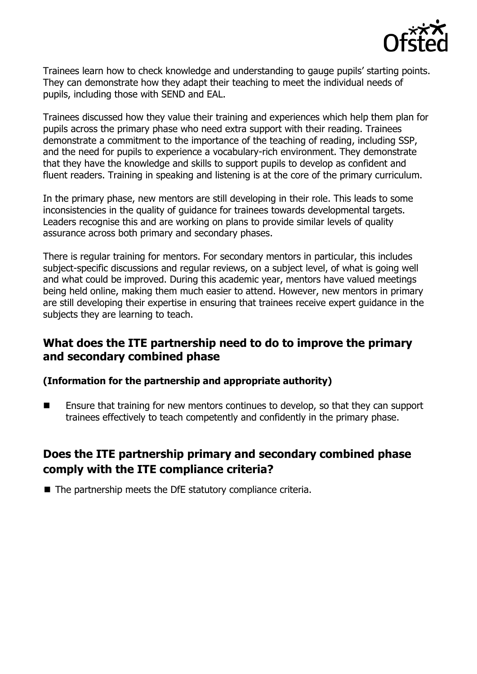

Trainees learn how to check knowledge and understanding to gauge pupils' starting points. They can demonstrate how they adapt their teaching to meet the individual needs of pupils, including those with SEND and EAL.

Trainees discussed how they value their training and experiences which help them plan for pupils across the primary phase who need extra support with their reading. Trainees demonstrate a commitment to the importance of the teaching of reading, including SSP, and the need for pupils to experience a vocabulary-rich environment. They demonstrate that they have the knowledge and skills to support pupils to develop as confident and fluent readers. Training in speaking and listening is at the core of the primary curriculum.

In the primary phase, new mentors are still developing in their role. This leads to some inconsistencies in the quality of guidance for trainees towards developmental targets. Leaders recognise this and are working on plans to provide similar levels of quality assurance across both primary and secondary phases.

There is regular training for mentors. For secondary mentors in particular, this includes subject-specific discussions and regular reviews, on a subject level, of what is going well and what could be improved. During this academic year, mentors have valued meetings being held online, making them much easier to attend. However, new mentors in primary are still developing their expertise in ensuring that trainees receive expert guidance in the subjects they are learning to teach.

#### **What does the ITE partnership need to do to improve the primary and secondary combined phase**

#### **(Information for the partnership and appropriate authority)**

■ Ensure that training for new mentors continues to develop, so that they can support trainees effectively to teach competently and confidently in the primary phase.

## **Does the ITE partnership primary and secondary combined phase comply with the ITE compliance criteria?**

■ The partnership meets the DfE statutory compliance criteria.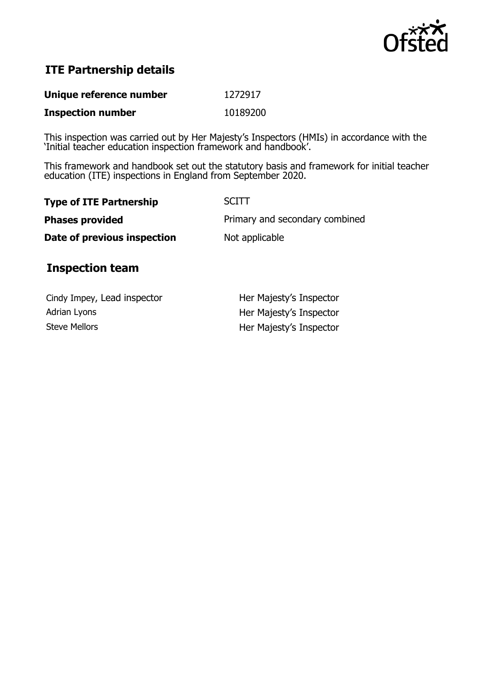

# **ITE Partnership details**

| Unique reference number  | 1272917  |
|--------------------------|----------|
| <b>Inspection number</b> | 10189200 |

This inspection was carried out by Her Majesty's Inspectors (HMIs) in accordance with the 'Initial teacher education inspection framework and handbook'.

This framework and handbook set out the statutory basis and framework for initial teacher education (ITE) inspections in England from September 2020.

| <b>SCITT</b>                   |
|--------------------------------|
| Primary and secondary combined |
| Not applicable                 |
|                                |

## **Inspection team**

| Cindy Impey, Lead inspector | Her Majesty's Inspector |
|-----------------------------|-------------------------|
| Adrian Lyons                | Her Majesty's Inspector |
| <b>Steve Mellors</b>        | Her Majesty's Inspector |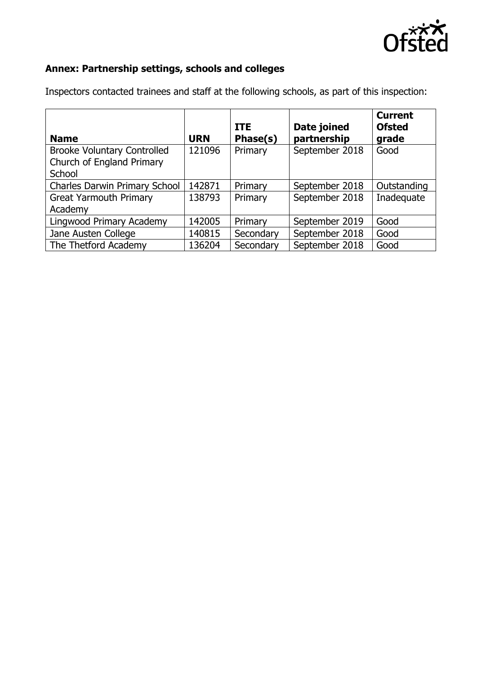

# **Annex: Partnership settings, schools and colleges**

| <b>Name</b>                          | <b>URN</b> | <b>ITE</b><br>Phase(s) | Date joined<br>partnership | <b>Current</b><br><b>Ofsted</b><br>grade |
|--------------------------------------|------------|------------------------|----------------------------|------------------------------------------|
| <b>Brooke Voluntary Controlled</b>   | 121096     | Primary                | September 2018             | Good                                     |
| Church of England Primary            |            |                        |                            |                                          |
| School                               |            |                        |                            |                                          |
| <b>Charles Darwin Primary School</b> | 142871     | Primary                | September 2018             | Outstanding                              |
| <b>Great Yarmouth Primary</b>        | 138793     | Primary                | September 2018             | Inadequate                               |
| Academy                              |            |                        |                            |                                          |
| Lingwood Primary Academy             | 142005     | Primary                | September 2019             | Good                                     |
| Jane Austen College                  | 140815     | Secondary              | September 2018             | Good                                     |
| The Thetford Academy                 | 136204     | Secondary              | September 2018             | Good                                     |

Inspectors contacted trainees and staff at the following schools, as part of this inspection: